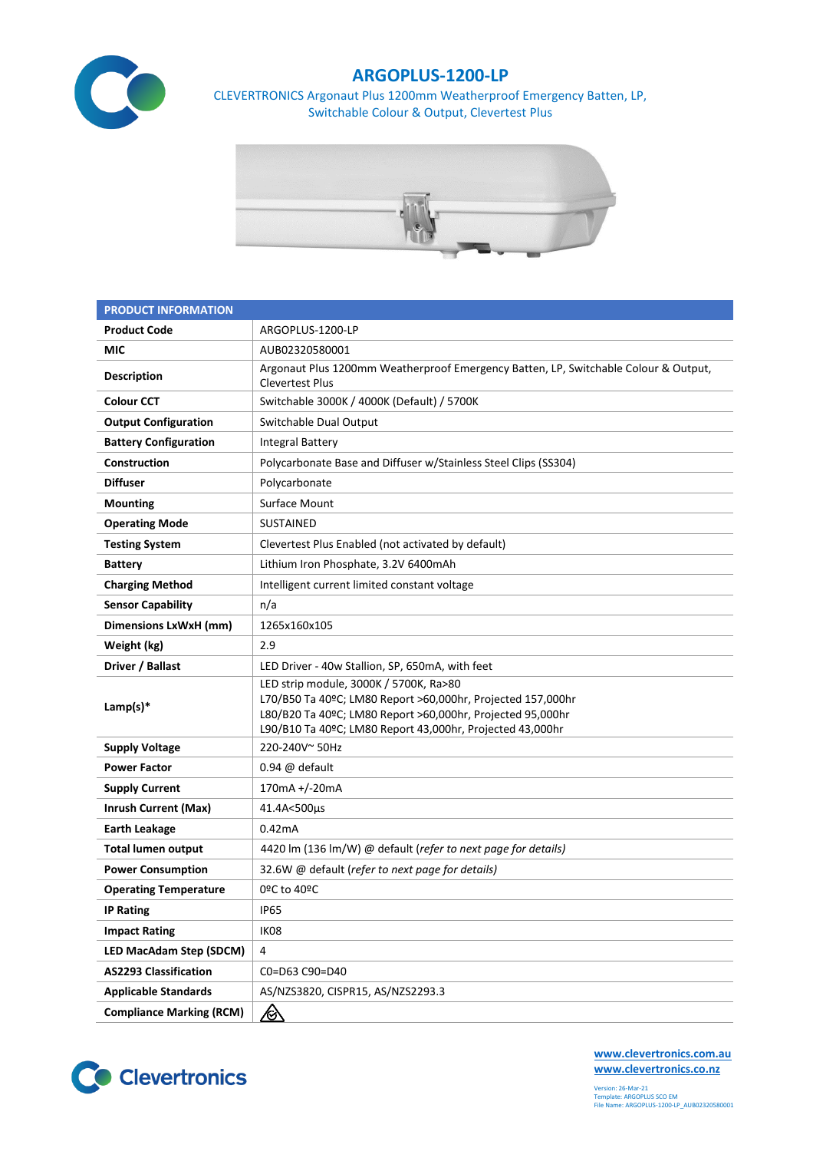

## **ARGOPLUS-1200-LP**

CLEVERTRONICS Argonaut Plus 1200mm Weatherproof Emergency Batten, LP, Switchable Colour & Output, Clevertest Plus



| <b>PRODUCT INFORMATION</b>      |                                                                                                                                                                                                                                  |  |  |  |  |
|---------------------------------|----------------------------------------------------------------------------------------------------------------------------------------------------------------------------------------------------------------------------------|--|--|--|--|
| <b>Product Code</b>             | ARGOPLUS-1200-LP                                                                                                                                                                                                                 |  |  |  |  |
| MIC                             | AUB02320580001                                                                                                                                                                                                                   |  |  |  |  |
| <b>Description</b>              | Argonaut Plus 1200mm Weatherproof Emergency Batten, LP, Switchable Colour & Output,<br><b>Clevertest Plus</b>                                                                                                                    |  |  |  |  |
| <b>Colour CCT</b>               | Switchable 3000K / 4000K (Default) / 5700K                                                                                                                                                                                       |  |  |  |  |
| <b>Output Configuration</b>     | Switchable Dual Output                                                                                                                                                                                                           |  |  |  |  |
| <b>Battery Configuration</b>    | <b>Integral Battery</b>                                                                                                                                                                                                          |  |  |  |  |
| Construction                    | Polycarbonate Base and Diffuser w/Stainless Steel Clips (SS304)                                                                                                                                                                  |  |  |  |  |
| <b>Diffuser</b>                 | Polycarbonate                                                                                                                                                                                                                    |  |  |  |  |
| <b>Mounting</b>                 | Surface Mount                                                                                                                                                                                                                    |  |  |  |  |
| <b>Operating Mode</b>           | <b>SUSTAINED</b>                                                                                                                                                                                                                 |  |  |  |  |
| <b>Testing System</b>           | Clevertest Plus Enabled (not activated by default)                                                                                                                                                                               |  |  |  |  |
| <b>Battery</b>                  | Lithium Iron Phosphate, 3.2V 6400mAh                                                                                                                                                                                             |  |  |  |  |
| <b>Charging Method</b>          | Intelligent current limited constant voltage                                                                                                                                                                                     |  |  |  |  |
| <b>Sensor Capability</b>        | n/a                                                                                                                                                                                                                              |  |  |  |  |
| Dimensions LxWxH (mm)           | 1265x160x105                                                                                                                                                                                                                     |  |  |  |  |
| Weight (kg)                     | 2.9                                                                                                                                                                                                                              |  |  |  |  |
| Driver / Ballast                | LED Driver - 40w Stallion, SP, 650mA, with feet                                                                                                                                                                                  |  |  |  |  |
| Lamp(s) $*$                     | LED strip module, 3000K / 5700K, Ra>80<br>L70/B50 Ta 40ºC; LM80 Report >60,000hr, Projected 157,000hr<br>L80/B20 Ta 40ºC; LM80 Report >60,000hr, Projected 95,000hr<br>L90/B10 Ta 40°C; LM80 Report 43,000hr, Projected 43,000hr |  |  |  |  |
| <b>Supply Voltage</b>           | 220-240V~50Hz                                                                                                                                                                                                                    |  |  |  |  |
| <b>Power Factor</b>             | $0.94 \omega$ default                                                                                                                                                                                                            |  |  |  |  |
| <b>Supply Current</b>           | 170mA +/-20mA                                                                                                                                                                                                                    |  |  |  |  |
| <b>Inrush Current (Max)</b>     | 41.4A<500µs                                                                                                                                                                                                                      |  |  |  |  |
| <b>Earth Leakage</b>            | 0.42mA                                                                                                                                                                                                                           |  |  |  |  |
| <b>Total lumen output</b>       | 4420 lm (136 lm/W) @ default (refer to next page for details)                                                                                                                                                                    |  |  |  |  |
| <b>Power Consumption</b>        | 32.6W @ default (refer to next page for details)                                                                                                                                                                                 |  |  |  |  |
| <b>Operating Temperature</b>    | 0ºC to 40ºC                                                                                                                                                                                                                      |  |  |  |  |
| <b>IP Rating</b>                | <b>IP65</b>                                                                                                                                                                                                                      |  |  |  |  |
| <b>Impact Rating</b>            | IK08                                                                                                                                                                                                                             |  |  |  |  |
| LED MacAdam Step (SDCM)         | 4                                                                                                                                                                                                                                |  |  |  |  |
| <b>AS2293 Classification</b>    | C0=D63 C90=D40                                                                                                                                                                                                                   |  |  |  |  |
| <b>Applicable Standards</b>     | AS/NZS3820, CISPR15, AS/NZS2293.3                                                                                                                                                                                                |  |  |  |  |
| <b>Compliance Marking (RCM)</b> | <u>/ो</u>                                                                                                                                                                                                                        |  |  |  |  |



**[www.clevertronics.com.au](http://www.clevertronics.com.au/) www.clevertronics.co.nz**

Version: 26-Mar-21 Template: ARGOPLUS SCO EM File Name: ARGOPLUS-1200-LP\_AUB02320580001